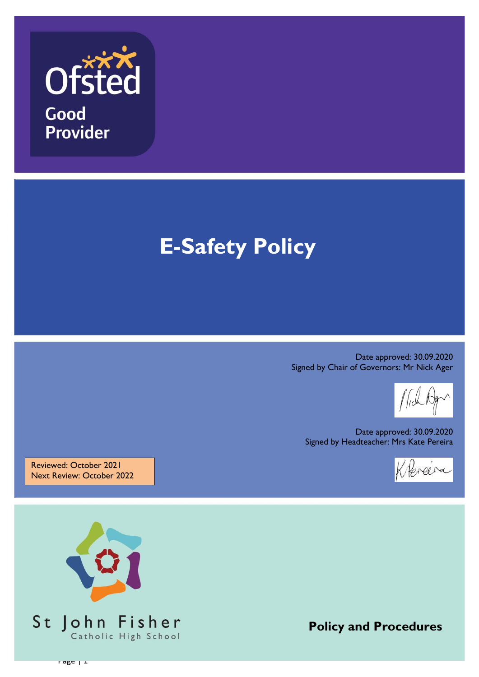

# **E-Safety Policy**

Date approved: 30.09.2020 Signed by Chair of Governors: Mr Nick Ager

Date approved: 30.09.2020 Signed by Headteacher: Mrs Kate Pereira

Klereira

Reviewed: October 2021 Next Review: October 2022



**Policy and Procedures**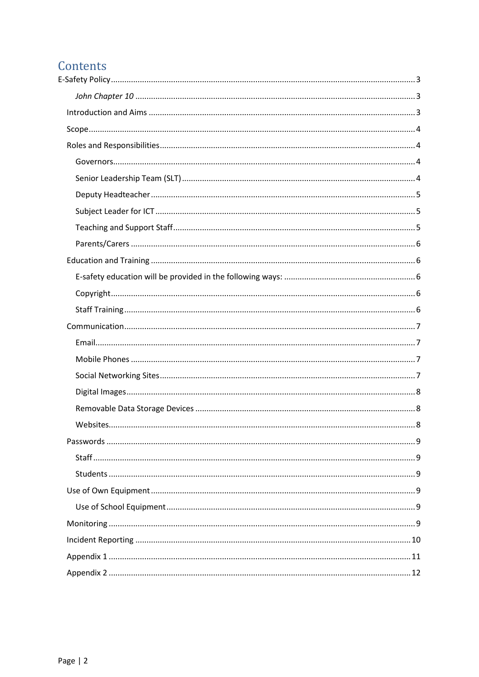# Contents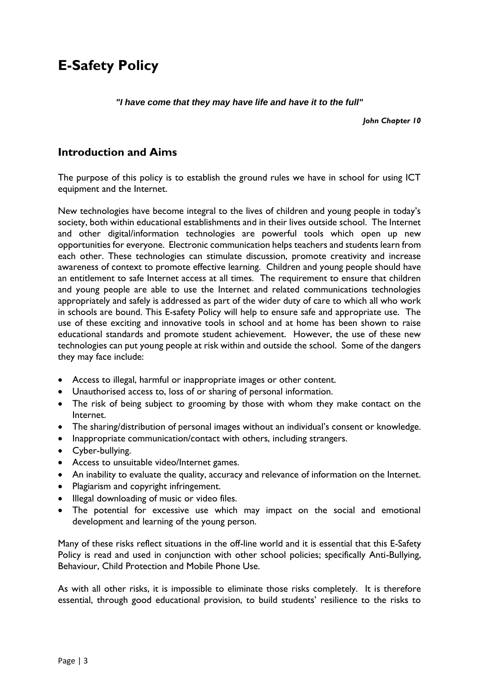# <span id="page-2-0"></span>**E-Safety Policy**

#### *"I have come that they may have life and have it to the full"*

*John Chapter 10*

### <span id="page-2-2"></span><span id="page-2-1"></span>**Introduction and Aims**

The purpose of this policy is to establish the ground rules we have in school for using ICT equipment and the Internet.

New technologies have become integral to the lives of children and young people in today's society, both within educational establishments and in their lives outside school. The Internet and other digital/information technologies are powerful tools which open up new opportunities for everyone. Electronic communication helps teachers and students learn from each other. These technologies can stimulate discussion, promote creativity and increase awareness of context to promote effective learning. Children and young people should have an entitlement to safe Internet access at all times. The requirement to ensure that children and young people are able to use the Internet and related communications technologies appropriately and safely is addressed as part of the wider duty of care to which all who work in schools are bound. This E-safety Policy will help to ensure safe and appropriate use. The use of these exciting and innovative tools in school and at home has been shown to raise educational standards and promote student achievement. However, the use of these new technologies can put young people at risk within and outside the school. Some of the dangers they may face include:

- Access to illegal, harmful or inappropriate images or other content.
- Unauthorised access to, loss of or sharing of personal information.
- The risk of being subject to grooming by those with whom they make contact on the Internet.
- The sharing/distribution of personal images without an individual's consent or knowledge.
- Inappropriate communication/contact with others, including strangers.
- Cyber-bullying.
- Access to unsuitable video/Internet games.
- An inability to evaluate the quality, accuracy and relevance of information on the Internet.
- Plagiarism and copyright infringement.
- Illegal downloading of music or video files.
- The potential for excessive use which may impact on the social and emotional development and learning of the young person.

Many of these risks reflect situations in the off-line world and it is essential that this E-Safety Policy is read and used in conjunction with other school policies; specifically Anti-Bullying, Behaviour, Child Protection and Mobile Phone Use.

As with all other risks, it is impossible to eliminate those risks completely. It is therefore essential, through good educational provision, to build students' resilience to the risks to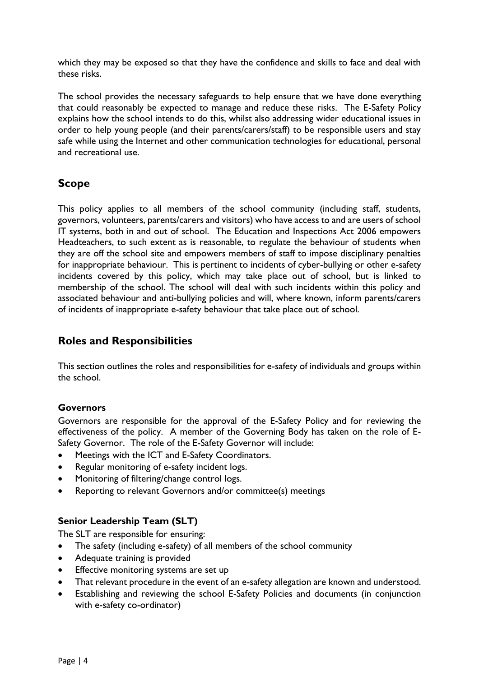which they may be exposed so that they have the confidence and skills to face and deal with these risks.

The school provides the necessary safeguards to help ensure that we have done everything that could reasonably be expected to manage and reduce these risks. The E-Safety Policy explains how the school intends to do this, whilst also addressing wider educational issues in order to help young people (and their parents/carers/staff) to be responsible users and stay safe while using the Internet and other communication technologies for educational, personal and recreational use.

# <span id="page-3-0"></span>**Scope**

This policy applies to all members of the school community (including staff, students, governors, volunteers, parents/carers and visitors) who have access to and are users of school IT systems, both in and out of school. The Education and Inspections Act 2006 empowers Headteachers, to such extent as is reasonable, to regulate the behaviour of students when they are off the school site and empowers members of staff to impose disciplinary penalties for inappropriate behaviour. This is pertinent to incidents of cyber-bullying or other e-safety incidents covered by this policy, which may take place out of school, but is linked to membership of the school. The school will deal with such incidents within this policy and associated behaviour and anti-bullying policies and will, where known, inform parents/carers of incidents of inappropriate e-safety behaviour that take place out of school.

# <span id="page-3-1"></span>**Roles and Responsibilities**

This section outlines the roles and responsibilities for e-safety of individuals and groups within the school.

#### <span id="page-3-2"></span>**Governors**

Governors are responsible for the approval of the E-Safety Policy and for reviewing the effectiveness of the policy. A member of the Governing Body has taken on the role of E-Safety Governor. The role of the E-Safety Governor will include:

- Meetings with the ICT and E-Safety Coordinators.
- Regular monitoring of e-safety incident logs.
- Monitoring of filtering/change control logs.
- Reporting to relevant Governors and/or committee(s) meetings

#### <span id="page-3-3"></span>**Senior Leadership Team (SLT)**

The SLT are responsible for ensuring:

- The safety (including e-safety) of all members of the school community
- Adequate training is provided
- Effective monitoring systems are set up
- That relevant procedure in the event of an e-safety allegation are known and understood.
- Establishing and reviewing the school E-Safety Policies and documents (in conjunction with e-safety co-ordinator)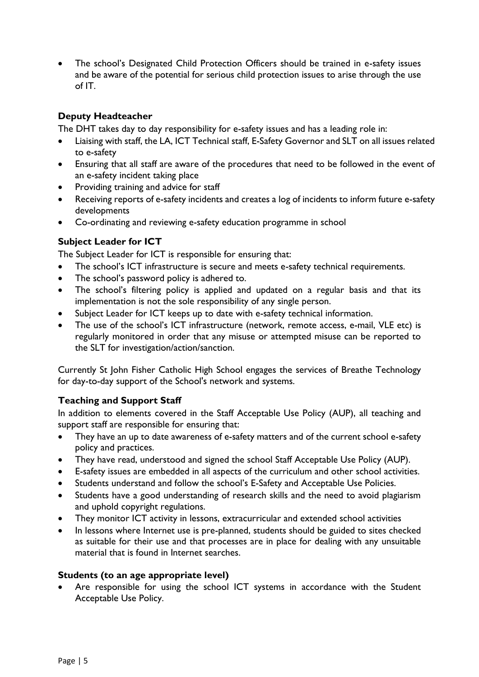• The school's Designated Child Protection Officers should be trained in e-safety issues and be aware of the potential for serious child protection issues to arise through the use of IT.

#### <span id="page-4-0"></span>**Deputy Headteacher**

The DHT takes day to day responsibility for e-safety issues and has a leading role in:

- Liaising with staff, the LA, ICT Technical staff, E-Safety Governor and SLT on all issues related to e-safety
- Ensuring that all staff are aware of the procedures that need to be followed in the event of an e-safety incident taking place
- Providing training and advice for staff
- Receiving reports of e-safety incidents and creates a log of incidents to inform future e-safety developments
- Co-ordinating and reviewing e-safety education programme in school

#### <span id="page-4-1"></span>**Subject Leader for ICT**

The Subject Leader for ICT is responsible for ensuring that:

- The school's ICT infrastructure is secure and meets e-safety technical requirements.
- The school's password policy is adhered to.
- The school's filtering policy is applied and updated on a regular basis and that its implementation is not the sole responsibility of any single person.
- Subject Leader for ICT keeps up to date with e-safety technical information.
- The use of the school's ICT infrastructure (network, remote access, e-mail, VLE etc) is regularly monitored in order that any misuse or attempted misuse can be reported to the SLT for investigation/action/sanction.

Currently St John Fisher Catholic High School engages the services of Breathe Technology for day-to-day support of the School's network and systems.

#### <span id="page-4-2"></span>**Teaching and Support Staff**

In addition to elements covered in the Staff Acceptable Use Policy (AUP), all teaching and support staff are responsible for ensuring that:

- They have an up to date awareness of e-safety matters and of the current school e-safety policy and practices.
- They have read, understood and signed the school Staff Acceptable Use Policy (AUP).
- E-safety issues are embedded in all aspects of the curriculum and other school activities.
- Students understand and follow the school's E-Safety and Acceptable Use Policies.
- Students have a good understanding of research skills and the need to avoid plagiarism and uphold copyright regulations.
- They monitor ICT activity in lessons, extracurricular and extended school activities
- In lessons where Internet use is pre-planned, students should be guided to sites checked as suitable for their use and that processes are in place for dealing with any unsuitable material that is found in Internet searches.

#### **Students (to an age appropriate level)**

 Are responsible for using the school ICT systems in accordance with the Student Acceptable Use Policy.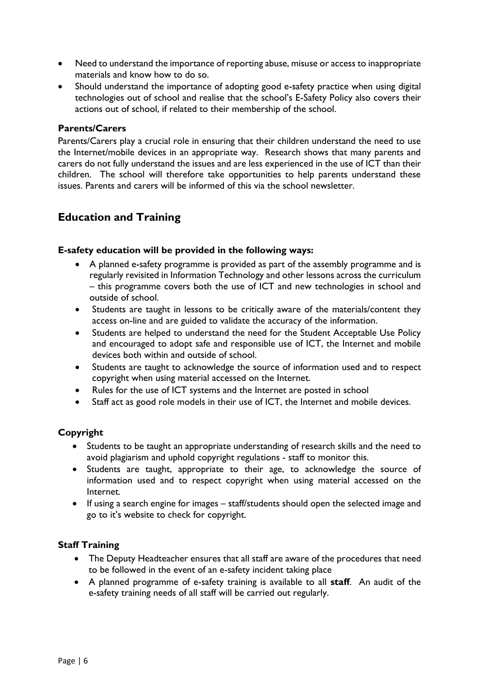- Need to understand the importance of reporting abuse, misuse or access to inappropriate materials and know how to do so.
- Should understand the importance of adopting good e-safety practice when using digital technologies out of school and realise that the school's E-Safety Policy also covers their actions out of school, if related to their membership of the school.

#### <span id="page-5-0"></span>**Parents/Carers**

Parents/Carers play a crucial role in ensuring that their children understand the need to use the Internet/mobile devices in an appropriate way. Research shows that many parents and carers do not fully understand the issues and are less experienced in the use of ICT than their children. The school will therefore take opportunities to help parents understand these issues. Parents and carers will be informed of this via the school newsletter.

# <span id="page-5-1"></span>**Education and Training**

#### <span id="page-5-2"></span>**E-safety education will be provided in the following ways:**

- A planned e-safety programme is provided as part of the assembly programme and is regularly revisited in Information Technology and other lessons across the curriculum – this programme covers both the use of ICT and new technologies in school and outside of school.
- Students are taught in lessons to be critically aware of the materials/content they access on-line and are guided to validate the accuracy of the information.
- Students are helped to understand the need for the Student Acceptable Use Policy and encouraged to adopt safe and responsible use of ICT, the Internet and mobile devices both within and outside of school.
- Students are taught to acknowledge the source of information used and to respect copyright when using material accessed on the Internet.
- Rules for the use of ICT systems and the Internet are posted in school
- Staff act as good role models in their use of ICT, the Internet and mobile devices.

#### <span id="page-5-3"></span>**Copyright**

- Students to be taught an appropriate understanding of research skills and the need to avoid plagiarism and uphold copyright regulations - staff to monitor this.
- Students are taught, appropriate to their age, to acknowledge the source of information used and to respect copyright when using material accessed on the Internet.
- If using a search engine for images staff/students should open the selected image and go to it's website to check for copyright.

#### <span id="page-5-4"></span>**Staff Training**

- The Deputy Headteacher ensures that all staff are aware of the procedures that need to be followed in the event of an e-safety incident taking place
- A planned programme of e-safety training is available to all **staff**. An audit of the e-safety training needs of all staff will be carried out regularly.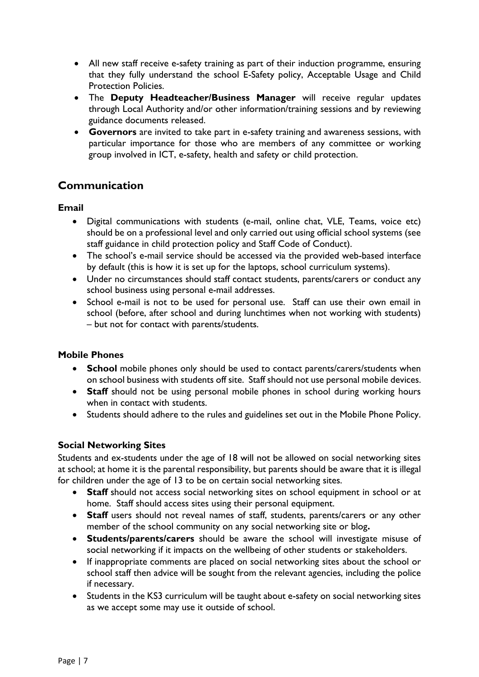- All new staff receive e-safety training as part of their induction programme, ensuring that they fully understand the school E-Safety policy, Acceptable Usage and Child Protection Policies.
- The **Deputy Headteacher/Business Manager** will receive regular updates through Local Authority and/or other information/training sessions and by reviewing guidance documents released.
- **Governors** are invited to take part in e-safety training and awareness sessions, with particular importance for those who are members of any committee or working group involved in ICT, e-safety, health and safety or child protection.

# <span id="page-6-0"></span>**Communication**

#### <span id="page-6-1"></span>**Email**

- Digital communications with students (e-mail, online chat, VLE, Teams, voice etc) should be on a professional level and only carried out using official school systems (see staff guidance in child protection policy and Staff Code of Conduct).
- The school's e-mail service should be accessed via the provided web-based interface by default (this is how it is set up for the laptops, school curriculum systems).
- Under no circumstances should staff contact students, parents/carers or conduct any school business using personal e-mail addresses.
- School e-mail is not to be used for personal use. Staff can use their own email in school (before, after school and during lunchtimes when not working with students) – but not for contact with parents/students.

#### <span id="page-6-2"></span>**Mobile Phones**

- **School** mobile phones only should be used to contact parents/carers/students when on school business with students off site. Staff should not use personal mobile devices.
- **Staff** should not be using personal mobile phones in school during working hours when in contact with students.
- Students should adhere to the rules and guidelines set out in the Mobile Phone Policy.

#### <span id="page-6-3"></span>**Social Networking Sites**

Students and ex-students under the age of 18 will not be allowed on social networking sites at school; at home it is the parental responsibility, but parents should be aware that it is illegal for children under the age of 13 to be on certain social networking sites.

- **Staff** should not access social networking sites on school equipment in school or at home. Staff should access sites using their personal equipment.
- **Staff** users should not reveal names of staff, students, parents/carers or any other member of the school community on any social networking site or blog**.**
- **Students/parents/carers** should be aware the school will investigate misuse of social networking if it impacts on the wellbeing of other students or stakeholders.
- If inappropriate comments are placed on social networking sites about the school or school staff then advice will be sought from the relevant agencies, including the police if necessary.
- Students in the KS3 curriculum will be taught about e-safety on social networking sites as we accept some may use it outside of school.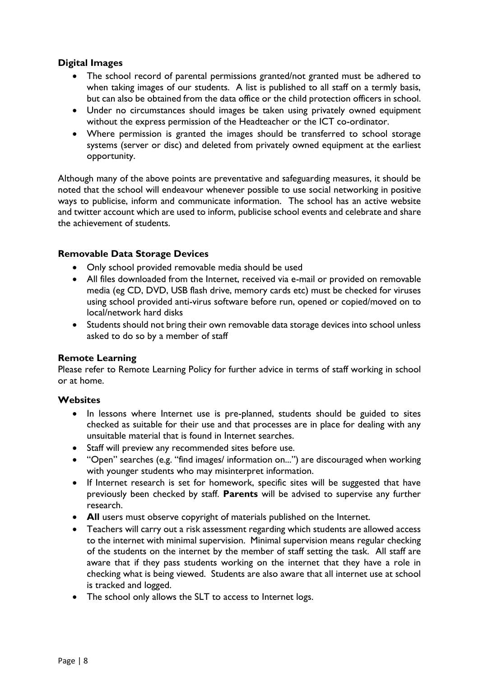#### <span id="page-7-0"></span>**Digital Images**

- The school record of parental permissions granted/not granted must be adhered to when taking images of our students. A list is published to all staff on a termly basis, but can also be obtained from the data office or the child protection officers in school.
- Under no circumstances should images be taken using privately owned equipment without the express permission of the Headteacher or the ICT co-ordinator.
- Where permission is granted the images should be transferred to school storage systems (server or disc) and deleted from privately owned equipment at the earliest opportunity.

Although many of the above points are preventative and safeguarding measures, it should be noted that the school will endeavour whenever possible to use social networking in positive ways to publicise, inform and communicate information. The school has an active website and twitter account which are used to inform, publicise school events and celebrate and share the achievement of students.

#### <span id="page-7-1"></span>**Removable Data Storage Devices**

- Only school provided removable media should be used
- All files downloaded from the Internet, received via e-mail or provided on removable media (eg CD, DVD, USB flash drive, memory cards etc) must be checked for viruses using school provided anti-virus software before run, opened or copied/moved on to local/network hard disks
- Students should not bring their own removable data storage devices into school unless asked to do so by a member of staff

#### **Remote Learning**

Please refer to Remote Learning Policy for further advice in terms of staff working in school or at home.

#### <span id="page-7-2"></span>**Websites**

- In lessons where Internet use is pre-planned, students should be guided to sites checked as suitable for their use and that processes are in place for dealing with any unsuitable material that is found in Internet searches.
- Staff will preview any recommended sites before use.
- "Open" searches (e.g. "find images/ information on...") are discouraged when working with younger students who may misinterpret information.
- If Internet research is set for homework, specific sites will be suggested that have previously been checked by staff. **Parents** will be advised to supervise any further research.
- **All** users must observe copyright of materials published on the Internet.
- Teachers will carry out a risk assessment regarding which students are allowed access to the internet with minimal supervision. Minimal supervision means regular checking of the students on the internet by the member of staff setting the task. All staff are aware that if they pass students working on the internet that they have a role in checking what is being viewed. Students are also aware that all internet use at school is tracked and logged.
- The school only allows the SLT to access to Internet logs.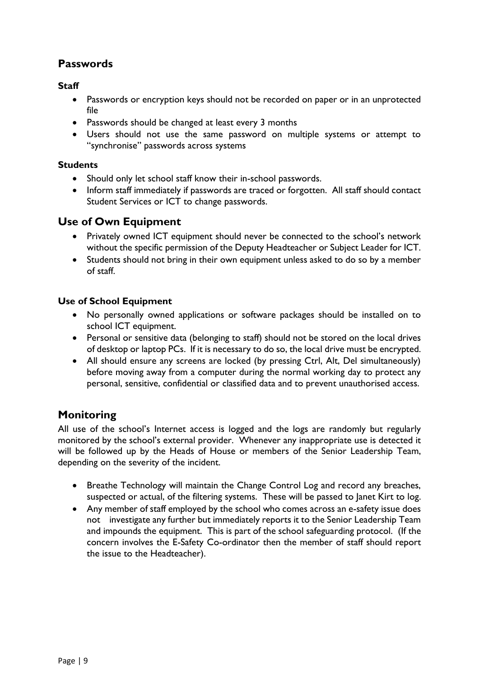# <span id="page-8-0"></span>**Passwords**

#### <span id="page-8-1"></span>**Staff**

- Passwords or encryption keys should not be recorded on paper or in an unprotected file
- Passwords should be changed at least every 3 months
- Users should not use the same password on multiple systems or attempt to "synchronise" passwords across systems

#### <span id="page-8-2"></span>**Students**

- Should only let school staff know their in-school passwords.
- Inform staff immediately if passwords are traced or forgotten. All staff should contact Student Services or ICT to change passwords.

## <span id="page-8-3"></span>**Use of Own Equipment**

- Privately owned ICT equipment should never be connected to the school's network without the specific permission of the Deputy Headteacher or Subject Leader for ICT.
- Students should not bring in their own equipment unless asked to do so by a member of staff.

#### <span id="page-8-4"></span>**Use of School Equipment**

- No personally owned applications or software packages should be installed on to school ICT equipment.
- Personal or sensitive data (belonging to staff) should not be stored on the local drives of desktop or laptop PCs. If it is necessary to do so, the local drive must be encrypted.
- All should ensure any screens are locked (by pressing Ctrl, Alt, Del simultaneously) before moving away from a computer during the normal working day to protect any personal, sensitive, confidential or classified data and to prevent unauthorised access.

# <span id="page-8-5"></span>**Monitoring**

All use of the school's Internet access is logged and the logs are randomly but regularly monitored by the school's external provider. Whenever any inappropriate use is detected it will be followed up by the Heads of House or members of the Senior Leadership Team, depending on the severity of the incident.

- Breathe Technology will maintain the Change Control Log and record any breaches, suspected or actual, of the filtering systems. These will be passed to Janet Kirt to log.
- Any member of staff employed by the school who comes across an e-safety issue does not investigate any further but immediately reports it to the Senior Leadership Team and impounds the equipment. This is part of the school safeguarding protocol. (If the concern involves the E-Safety Co-ordinator then the member of staff should report the issue to the Headteacher).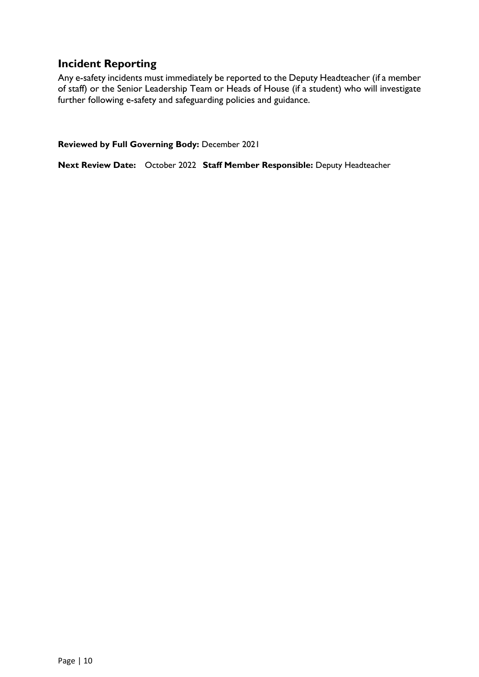# <span id="page-9-0"></span>**Incident Reporting**

Any e-safety incidents must immediately be reported to the Deputy Headteacher (if a member of staff) or the Senior Leadership Team or Heads of House (if a student) who will investigate further following e-safety and safeguarding policies and guidance.

**Reviewed by Full Governing Body:** December 2021

**Next Review Date:** October 2022 **Staff Member Responsible:** Deputy Headteacher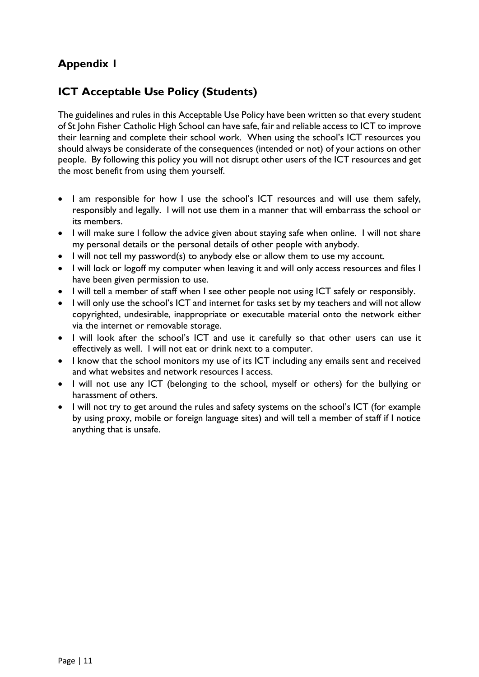# <span id="page-10-0"></span>**Appendix 1**

# **ICT Acceptable Use Policy (Students)**

The guidelines and rules in this Acceptable Use Policy have been written so that every student of St John Fisher Catholic High School can have safe, fair and reliable access to ICT to improve their learning and complete their school work. When using the school's ICT resources you should always be considerate of the consequences (intended or not) of your actions on other people. By following this policy you will not disrupt other users of the ICT resources and get the most benefit from using them yourself.

- I am responsible for how I use the school's ICT resources and will use them safely, responsibly and legally. I will not use them in a manner that will embarrass the school or its members.
- I will make sure I follow the advice given about staying safe when online. I will not share my personal details or the personal details of other people with anybody.
- I will not tell my password(s) to anybody else or allow them to use my account.
- I will lock or logoff my computer when leaving it and will only access resources and files I have been given permission to use.
- I will tell a member of staff when I see other people not using ICT safely or responsibly.
- I will only use the school's ICT and internet for tasks set by my teachers and will not allow copyrighted, undesirable, inappropriate or executable material onto the network either via the internet or removable storage.
- I will look after the school's ICT and use it carefully so that other users can use it effectively as well. I will not eat or drink next to a computer.
- I know that the school monitors my use of its ICT including any emails sent and received and what websites and network resources I access.
- I will not use any ICT (belonging to the school, myself or others) for the bullying or harassment of others.
- I will not try to get around the rules and safety systems on the school's ICT (for example by using proxy, mobile or foreign language sites) and will tell a member of staff if I notice anything that is unsafe.